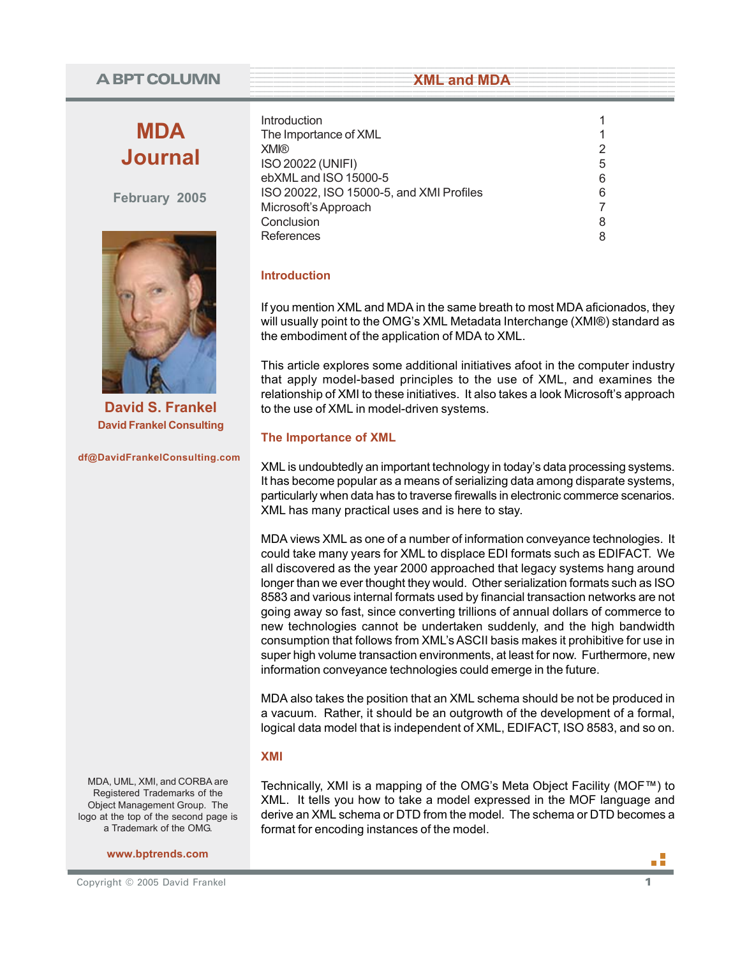# **A BPT COLUMN**

# **MDA Journal**

**February 2005**



**David S. Frankel David Frankel Consulting**

**df@DavidFrankelConsulting.com**

MDA, UML, XMI, and CORBA are Registered Trademarks of the Object Management Group. The logo at the top of the second page is a Trademark of the OMG.

**www.bptrends.com**

| Copyright © 2005 David Frankel |  |
|--------------------------------|--|

| Introduction                             |  |
|------------------------------------------|--|
| The Importance of XML                    |  |
| <b>XMI®</b>                              |  |
| <b>ISO 20022 (UNIFI)</b>                 |  |
| ebXML and ISO 15000-5                    |  |
| ISO 20022, ISO 15000-5, and XMI Profiles |  |
| Microsoft's Approach                     |  |
| Conclusion                               |  |
| References                               |  |

**Example 2018 SML 2018 MDA** 

## **Introduction**

If you mention XML and MDA in the same breath to most MDA aficionados, they will usually point to the OMG's XML Metadata Interchange (XMI®) standard as the embodiment of the application of MDA to XML.

This article explores some additional initiatives afoot in the computer industry that apply model-based principles to the use of XML, and examines the relationship of XMI to these initiatives. It also takes a look Microsoft's approach to the use of XML in model-driven systems.

## **The Importance of XML**

XML is undoubtedly an important technology in today's data processing systems. It has become popular as a means of serializing data among disparate systems, particularly when data has to traverse firewalls in electronic commerce scenarios. XML has many practical uses and is here to stay.

MDA views XML as one of a number of information conveyance technologies. It could take many years for XML to displace EDI formats such as EDIFACT. We all discovered as the year 2000 approached that legacy systems hang around longer than we ever thought they would. Other serialization formats such as ISO 8583 and various internal formats used by financial transaction networks are not going away so fast, since converting trillions of annual dollars of commerce to new technologies cannot be undertaken suddenly, and the high bandwidth consumption that follows from XML's ASCII basis makes it prohibitive for use in super high volume transaction environments, at least for now. Furthermore, new information conveyance technologies could emerge in the future.

MDA also takes the position that an XML schema should be not be produced in a vacuum. Rather, it should be an outgrowth of the development of a formal, logical data model that is independent of XML, EDIFACT, ISO 8583, and so on.

## **XMI**

Technically, XMI is a mapping of the OMG's Meta Object Facility (MOF™) to XML. It tells you how to take a model expressed in the MOF language and derive an XML schema or DTD from the model. The schema or DTD becomes a format for encoding instances of the model.

пF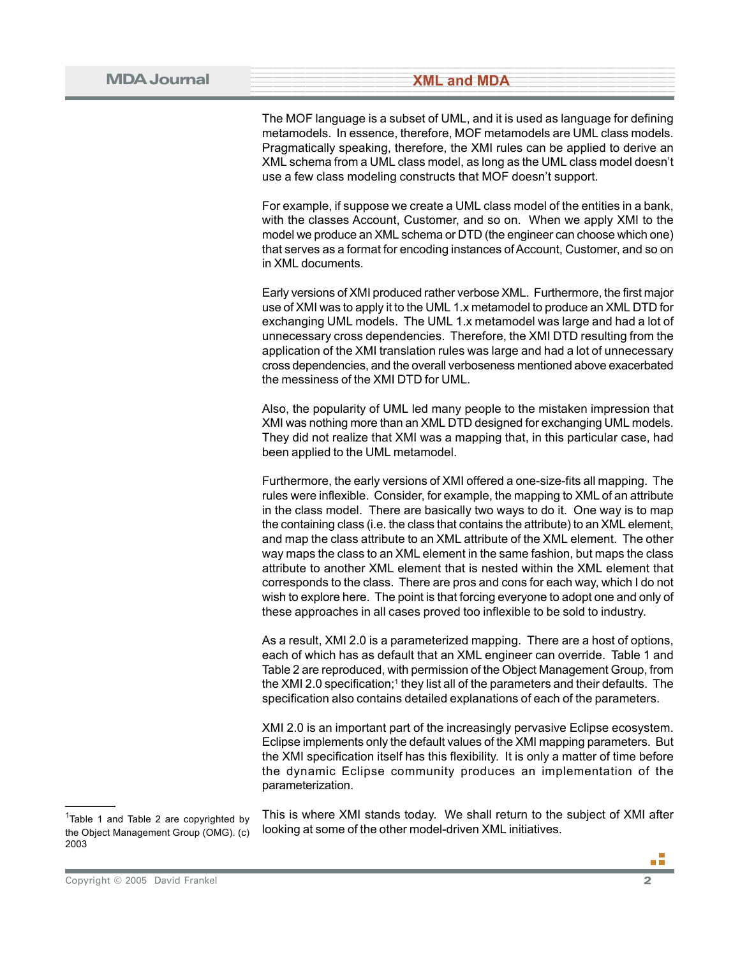The MOF language is a subset of UML, and it is used as language for defining metamodels. In essence, therefore, MOF metamodels are UML class models. Pragmatically speaking, therefore, the XMI rules can be applied to derive an XML schema from a UML class model, as long as the UML class model doesn't use a few class modeling constructs that MOF doesn't support.

For example, if suppose we create a UML class model of the entities in a bank, with the classes Account, Customer, and so on. When we apply XMI to the model we produce an XML schema or DTD (the engineer can choose which one) that serves as a format for encoding instances of Account, Customer, and so on in XML documents.

Early versions of XMI produced rather verbose XML. Furthermore, the first major use of XMI was to apply it to the UML 1.x metamodel to produce an XML DTD for exchanging UML models. The UML 1.x metamodel was large and had a lot of unnecessary cross dependencies. Therefore, the XMI DTD resulting from the application of the XMI translation rules was large and had a lot of unnecessary cross dependencies, and the overall verboseness mentioned above exacerbated the messiness of the XMI DTD for UML.

Also, the popularity of UML led many people to the mistaken impression that XMI was nothing more than an XML DTD designed for exchanging UML models. They did not realize that XMI was a mapping that, in this particular case, had been applied to the UML metamodel.

Furthermore, the early versions of XMI offered a one-size-fits all mapping. The rules were inflexible. Consider, for example, the mapping to XML of an attribute in the class model. There are basically two ways to do it. One way is to map the containing class (i.e. the class that contains the attribute) to an XML element, and map the class attribute to an XML attribute of the XML element. The other way maps the class to an XML element in the same fashion, but maps the class attribute to another XML element that is nested within the XML element that corresponds to the class. There are pros and cons for each way, which I do not wish to explore here. The point is that forcing everyone to adopt one and only of these approaches in all cases proved too inflexible to be sold to industry.

As a result, XMI 2.0 is a parameterized mapping. There are a host of options, each of which has as default that an XML engineer can override. Table 1 and Table 2 are reproduced, with permission of the Object Management Group, from the XMI 2.0 specification;<sup>1</sup> they list all of the parameters and their defaults. The specification also contains detailed explanations of each of the parameters.

XMI 2.0 is an important part of the increasingly pervasive Eclipse ecosystem. Eclipse implements only the default values of the XMI mapping parameters. But the XMI specification itself has this flexibility. It is only a matter of time before the dynamic Eclipse community produces an implementation of the parameterization.

This is where XMI stands today. We shall return to the subject of XMI after looking at some of the other model-driven XML initiatives.

пñ

<sup>&</sup>lt;sup>1</sup>Table 1 and Table 2 are copyrighted by the Object Management Group (OMG). (c) 2003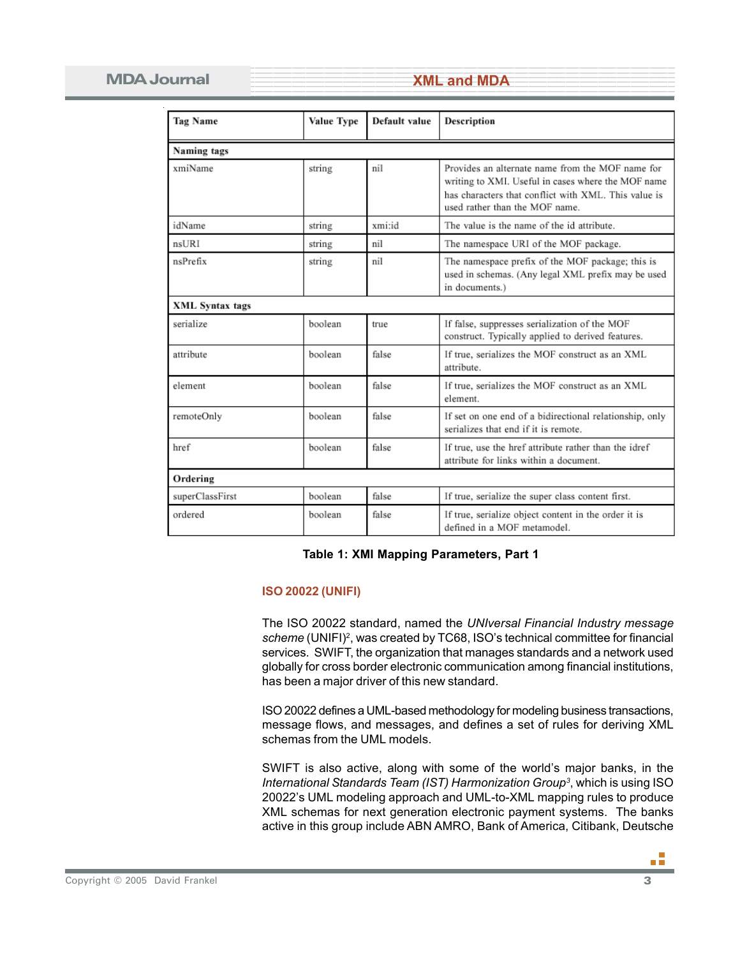## **MDA Journal**

**Example 2018 STATE STATE AND ARRANGEMENT AND ARRANGEMENT AND ARRANGEMENT AND ARRANGEMENT AND ARRANGEMENT AND A** 

| <b>Tag Name</b>        | Value Type | Default value | Description                                                                                                                                                                                      |  |  |
|------------------------|------------|---------------|--------------------------------------------------------------------------------------------------------------------------------------------------------------------------------------------------|--|--|
| Naming tags            |            |               |                                                                                                                                                                                                  |  |  |
| xmiName                | string     | nil           | Provides an alternate name from the MOF name for<br>writing to XMI. Useful in cases where the MOF name<br>has characters that conflict with XML. This value is<br>used rather than the MOF name. |  |  |
| idName                 | string     | xmi:id        | The value is the name of the id attribute.                                                                                                                                                       |  |  |
| nsURI                  | string     | nil           | The namespace URI of the MOF package.                                                                                                                                                            |  |  |
| nsPrefix               | string     | nil           | The namespace prefix of the MOF package; this is<br>used in schemas. (Any legal XML prefix may be used<br>in documents.)                                                                         |  |  |
| <b>XML</b> Syntax tags |            |               |                                                                                                                                                                                                  |  |  |
| serialize              | boolean    | true          | If false, suppresses serialization of the MOF<br>construct. Typically applied to derived features.                                                                                               |  |  |
| attribute              | boolean    | false         | If true, serializes the MOF construct as an XML<br>attribute.                                                                                                                                    |  |  |
| element                | boolean    | false         | If true, serializes the MOF construct as an XML<br>element.                                                                                                                                      |  |  |
| remoteOnly             | boolean    | false         | If set on one end of a bidirectional relationship, only<br>serializes that end if it is remote.                                                                                                  |  |  |
| href                   | boolean    | false         | If true, use the href attribute rather than the idref<br>attribute for links within a document.                                                                                                  |  |  |
| Ordering               |            |               |                                                                                                                                                                                                  |  |  |
| superClassFirst        | boolean    | false         | If true, serialize the super class content first.                                                                                                                                                |  |  |
| ordered                | boolean    | false         | If true, serialize object content in the order it is<br>defined in a MOF metamodel.                                                                                                              |  |  |

#### **Table 1: XMI Mapping Parameters, Part 1**

#### **ISO 20022 (UNIFI)**

The ISO 20022 standard, named the *UNIversal Financial Industry message* scheme (UNIFI)<sup>2</sup>, was created by TC68, ISO's technical committee for financial services. SWIFT, the organization that manages standards and a network used globally for cross border electronic communication among financial institutions, has been a major driver of this new standard.

ISO 20022 defines a UML-based methodology for modeling business transactions, message flows, and messages, and defines a set of rules for deriving XML schemas from the UML models.

SWIFT is also active, along with some of the world's major banks, in the *International Standards Team (IST) Harmonization Group3* , which is using ISO 20022's UML modeling approach and UML-to-XML mapping rules to produce XML schemas for next generation electronic payment systems. The banks active in this group include ABN AMRO, Bank of America, Citibank, Deutsche

пñ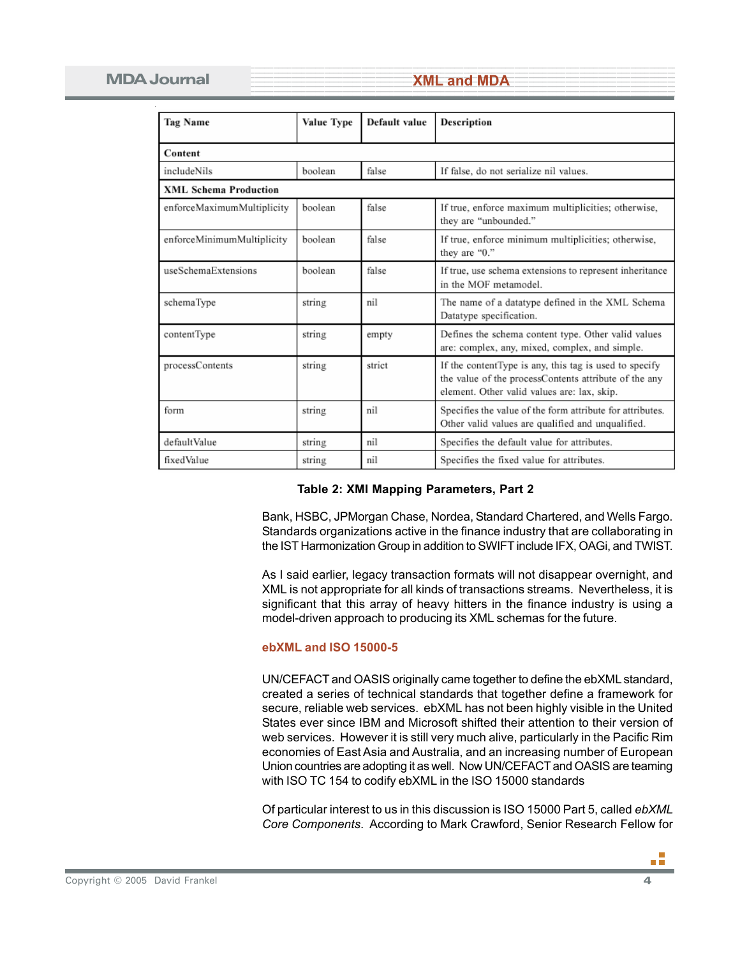| <b>Tag Name</b>              | Value Type | Default value | Description                                                                                                                                                    |  |  |  |
|------------------------------|------------|---------------|----------------------------------------------------------------------------------------------------------------------------------------------------------------|--|--|--|
| Content                      |            |               |                                                                                                                                                                |  |  |  |
| includeNils                  | boolean    | false         | If false, do not serialize nil values.                                                                                                                         |  |  |  |
| <b>XML Schema Production</b> |            |               |                                                                                                                                                                |  |  |  |
| enforceMaximumMultiplicity   | boolean    | false         | If true, enforce maximum multiplicities; otherwise,<br>they are "unbounded."                                                                                   |  |  |  |
| enforceMinimumMultiplicity   | boolean    | false         | If true, enforce minimum multiplicities; otherwise,<br>they are "0."                                                                                           |  |  |  |
| useSchemaExtensions          | boolean    | false         | If true, use schema extensions to represent inheritance<br>in the MOF metamodel.                                                                               |  |  |  |
| schemaType                   | string     | nil           | The name of a datatype defined in the XML Schema<br>Datatype specification.                                                                                    |  |  |  |
| contentType                  | string     | empty         | Defines the schema content type. Other valid values<br>are: complex, any, mixed, complex, and simple.                                                          |  |  |  |
| processContents              | string     | strict        | If the contentType is any, this tag is used to specify<br>the value of the processContents attribute of the any<br>element. Other valid values are: lax, skip. |  |  |  |
| form                         | string     | nil           | Specifies the value of the form attribute for attributes.<br>Other valid values are qualified and unqualified.                                                 |  |  |  |
| defaultValue                 | string     | nil           | Specifies the default value for attributes.                                                                                                                    |  |  |  |
| fixedValue                   | string     | nil           | Specifies the fixed value for attributes.                                                                                                                      |  |  |  |

#### **Table 2: XMI Mapping Parameters, Part 2**

Bank, HSBC, JPMorgan Chase, Nordea, Standard Chartered, and Wells Fargo. Standards organizations active in the finance industry that are collaborating in the IST Harmonization Group in addition to SWIFT include IFX, OAGi, and TWIST.

As I said earlier, legacy transaction formats will not disappear overnight, and XML is not appropriate for all kinds of transactions streams. Nevertheless, it is significant that this array of heavy hitters in the finance industry is using a model-driven approach to producing its XML schemas for the future.

#### **ebXML and ISO 15000-5**

UN/CEFACT and OASIS originally came together to define the ebXML standard, created a series of technical standards that together define a framework for secure, reliable web services. ebXML has not been highly visible in the United States ever since IBM and Microsoft shifted their attention to their version of web services. However it is still very much alive, particularly in the Pacific Rim economies of East Asia and Australia, and an increasing number of European Union countries are adopting it as well. Now UN/CEFACT and OASIS are teaming with ISO TC 154 to codify ebXML in the ISO 15000 standards

Of particular interest to us in this discussion is ISO 15000 Part 5, called *ebXML Core Components*. According to Mark Crawford, Senior Research Fellow for

пĒ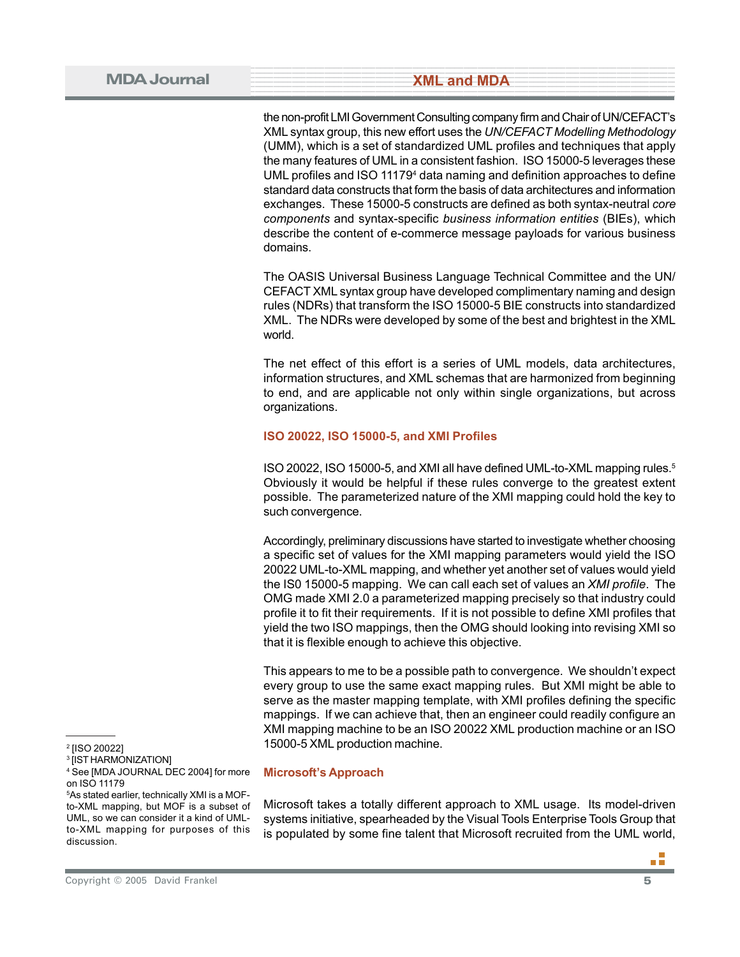the non-profit LMI Government Consulting company firm and Chair of UN/CEFACT's XML syntax group, this new effort uses the *UN/CEFACT Modelling Methodology* (UMM), which is a set of standardized UML profiles and techniques that apply the many features of UML in a consistent fashion. ISO 15000-5 leverages these UML profiles and ISO 111794 data naming and definition approaches to define standard data constructs that form the basis of data architectures and information exchanges. These 15000-5 constructs are defined as both syntax-neutral *core components* and syntax-specific *business information entities* (BIEs), which describe the content of e-commerce message payloads for various business domains.

The OASIS Universal Business Language Technical Committee and the UN/ CEFACT XML syntax group have developed complimentary naming and design rules (NDRs) that transform the ISO 15000-5 BIE constructs into standardized XML. The NDRs were developed by some of the best and brightest in the XML world.

The net effect of this effort is a series of UML models, data architectures, information structures, and XML schemas that are harmonized from beginning to end, and are applicable not only within single organizations, but across organizations.

### **ISO 20022, ISO 15000-5, and XMI Profiles**

ISO 20022, ISO 15000-5, and XMI all have defined UML-to-XML mapping rules.<sup>5</sup> Obviously it would be helpful if these rules converge to the greatest extent possible. The parameterized nature of the XMI mapping could hold the key to such convergence.

Accordingly, preliminary discussions have started to investigate whether choosing a specific set of values for the XMI mapping parameters would yield the ISO 20022 UML-to-XML mapping, and whether yet another set of values would yield the IS0 15000-5 mapping. We can call each set of values an *XMI profile*. The OMG made XMI 2.0 a parameterized mapping precisely so that industry could profile it to fit their requirements. If it is not possible to define XMI profiles that yield the two ISO mappings, then the OMG should looking into revising XMI so that it is flexible enough to achieve this objective.

This appears to me to be a possible path to convergence. We shouldn't expect every group to use the same exact mapping rules. But XMI might be able to serve as the master mapping template, with XMI profiles defining the specific mappings. If we can achieve that, then an engineer could readily configure an XMI mapping machine to be an ISO 20022 XML production machine or an ISO 15000-5 XML production machine.

**Microsoft's Approach**

Microsoft takes a totally different approach to XML usage. Its model-driven systems initiative, spearheaded by the Visual Tools Enterprise Tools Group that is populated by some fine talent that Microsoft recruited from the UML world,

<sup>2</sup> [ISO 20022]

<sup>3</sup> [IST HARMONIZATION]

<sup>4</sup> See [MDA JOURNAL DEC 2004] for more on ISO 11179

<sup>5</sup>As stated earlier, technically XMI is a MOFto-XML mapping, but MOF is a subset of UML, so we can consider it a kind of UMLto-XML mapping for purposes of this discussion.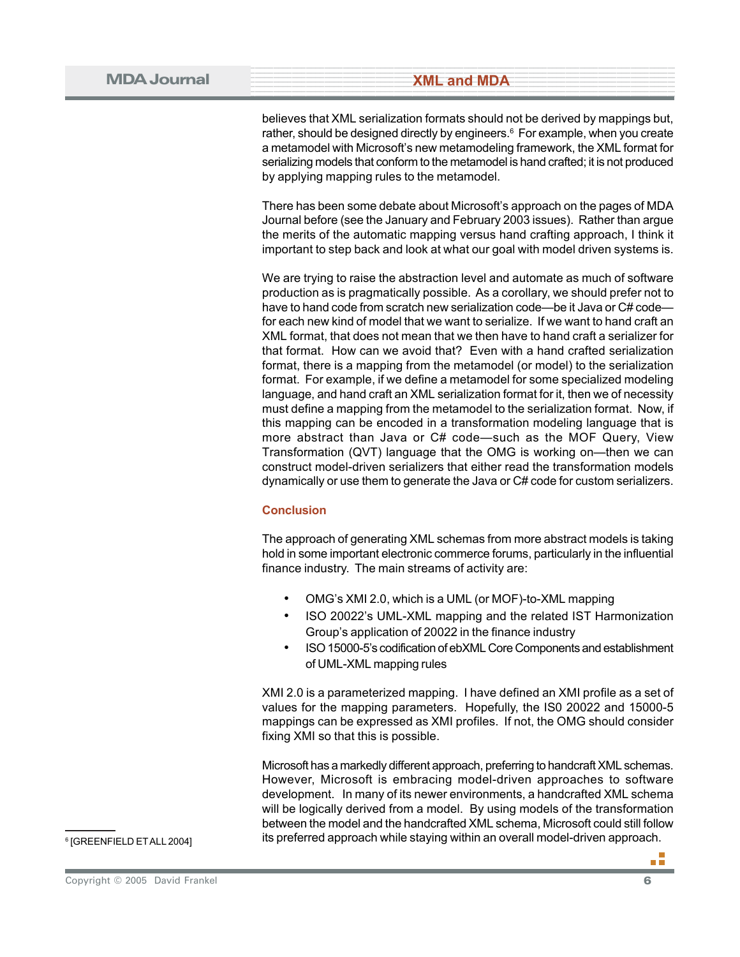believes that XML serialization formats should not be derived by mappings but, rather, should be designed directly by engineers.<sup>6</sup> For example, when you create a metamodel with Microsoft's new metamodeling framework, the XML format for serializing models that conform to the metamodel is hand crafted; it is not produced by applying mapping rules to the metamodel.

There has been some debate about Microsoft's approach on the pages of MDA Journal before (see the January and February 2003 issues). Rather than argue the merits of the automatic mapping versus hand crafting approach, I think it important to step back and look at what our goal with model driven systems is.

We are trying to raise the abstraction level and automate as much of software production as is pragmatically possible. As a corollary, we should prefer not to have to hand code from scratch new serialization code—be it Java or C# code for each new kind of model that we want to serialize. If we want to hand craft an XML format, that does not mean that we then have to hand craft a serializer for that format. How can we avoid that? Even with a hand crafted serialization format, there is a mapping from the metamodel (or model) to the serialization format. For example, if we define a metamodel for some specialized modeling language, and hand craft an XML serialization format for it, then we of necessity must define a mapping from the metamodel to the serialization format. Now, if this mapping can be encoded in a transformation modeling language that is more abstract than Java or C# code—such as the MOF Query, View Transformation (QVT) language that the OMG is working on—then we can construct model-driven serializers that either read the transformation models dynamically or use them to generate the Java or C# code for custom serializers.

#### **Conclusion**

The approach of generating XML schemas from more abstract models is taking hold in some important electronic commerce forums, particularly in the influential finance industry. The main streams of activity are:

- OMG's XMI 2.0, which is a UML (or MOF)-to-XML mapping
- ISO 20022's UML-XML mapping and the related IST Harmonization Group's application of 20022 in the finance industry
- ISO 15000-5's codification of ebXML Core Components and establishment of UML-XML mapping rules

XMI 2.0 is a parameterized mapping. I have defined an XMI profile as a set of values for the mapping parameters. Hopefully, the IS0 20022 and 15000-5 mappings can be expressed as XMI profiles. If not, the OMG should consider fixing XMI so that this is possible.

Microsoft has a markedly different approach, preferring to handcraft XML schemas. However, Microsoft is embracing model-driven approaches to software development. In many of its newer environments, a handcrafted XML schema will be logically derived from a model. By using models of the transformation between the model and the handcrafted XML schema, Microsoft could still follow  $\overline{\text{B}}$  its preferred approach while staying within an overall model-driven approach.